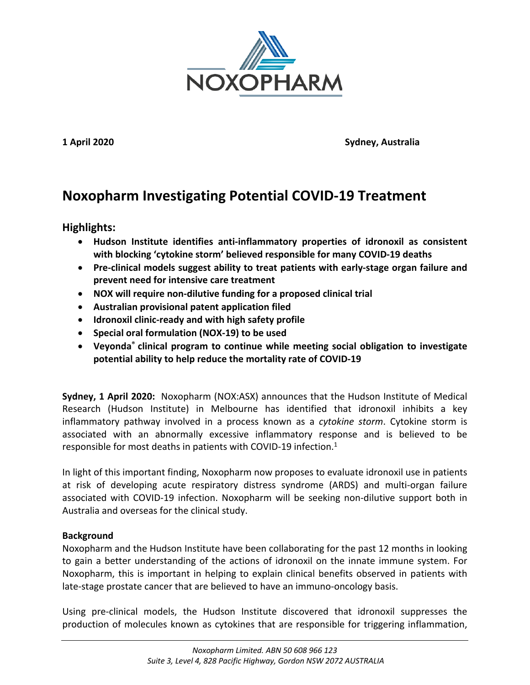

**1 April 2020 Sydney, Australia**

# **Noxopharm Investigating Potential COVID-19 Treatment**

**Highlights:**

- **Hudson Institute identifies anti-inflammatory properties of idronoxil as consistent with blocking 'cytokine storm' believed responsible for many COVID-19 deaths**
- **Pre-clinical models suggest ability to treat patients with early-stage organ failure and prevent need for intensive care treatment**
- **NOX will require non-dilutive funding for a proposed clinical trial**
- **Australian provisional patent application filed**
- **Idronoxil clinic-ready and with high safety profile**
- **Special oral formulation (NOX-19) to be used**
- **Veyonda® clinical program to continue while meeting social obligation to investigate potential ability to help reduce the mortality rate of COVID-19**

**Sydney, 1 April 2020:** Noxopharm (NOX:ASX) announces that the Hudson Institute of Medical Research (Hudson Institute) in Melbourne has identified that idronoxil inhibits a key inflammatory pathway involved in a process known as a *cytokine storm*. Cytokine storm is associated with an abnormally excessive inflammatory response and is believed to be responsible for most deaths in patients with COVID-19 infection.<sup>1</sup>

In light of this important finding, Noxopharm now proposes to evaluate idronoxil use in patients at risk of developing acute respiratory distress syndrome (ARDS) and multi-organ failure associated with COVID-19 infection. Noxopharm will be seeking non-dilutive support both in Australia and overseas for the clinical study.

# **Background**

Noxopharm and the Hudson Institute have been collaborating for the past 12 months in looking to gain a better understanding of the actions of idronoxil on the innate immune system. For Noxopharm, this is important in helping to explain clinical benefits observed in patients with late-stage prostate cancer that are believed to have an immuno-oncology basis.

Using pre-clinical models, the Hudson Institute discovered that idronoxil suppresses the production of molecules known as cytokines that are responsible for triggering inflammation,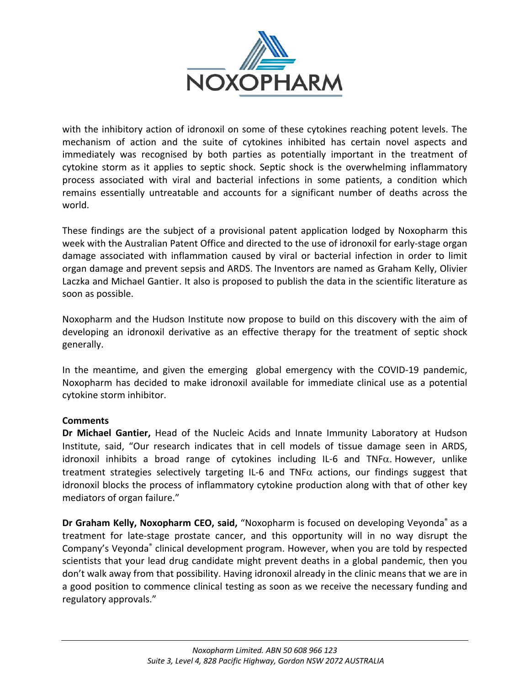

with the inhibitory action of idronoxil on some of these cytokines reaching potent levels. The mechanism of action and the suite of cytokines inhibited has certain novel aspects and immediately was recognised by both parties as potentially important in the treatment of cytokine storm as it applies to septic shock. Septic shock is the overwhelming inflammatory process associated with viral and bacterial infections in some patients, a condition which remains essentially untreatable and accounts for a significant number of deaths across the world.

These findings are the subject of a provisional patent application lodged by Noxopharm this week with the Australian Patent Office and directed to the use of idronoxil for early-stage organ damage associated with inflammation caused by viral or bacterial infection in order to limit organ damage and prevent sepsis and ARDS. The Inventors are named as Graham Kelly, Olivier Laczka and Michael Gantier. It also is proposed to publish the data in the scientific literature as soon as possible.

Noxopharm and the Hudson Institute now propose to build on this discovery with the aim of developing an idronoxil derivative as an effective therapy for the treatment of septic shock generally.

In the meantime, and given the emerging global emergency with the COVID-19 pandemic, Noxopharm has decided to make idronoxil available for immediate clinical use as a potential cytokine storm inhibitor.

# **Comments**

**Dr Michael Gantier,** Head of the Nucleic Acids and Innate Immunity Laboratory at Hudson Institute, said, "Our research indicates that in cell models of tissue damage seen in ARDS, idronoxil inhibits a broad range of cytokines including IL-6 and  $TNF\alpha$ . However, unlike treatment strategies selectively targeting IL-6 and TNF $\alpha$  actions, our findings suggest that idronoxil blocks the process of inflammatory cytokine production along with that of other key mediators of organ failure."

**Dr Graham Kelly, Noxopharm CEO, said,** "Noxopharm is focused on developing Veyonda® as a treatment for late-stage prostate cancer, and this opportunity will in no way disrupt the Company's Veyonda® clinical development program. However, when you are told by respected scientists that your lead drug candidate might prevent deaths in a global pandemic, then you don't walk away from that possibility. Having idronoxil already in the clinic means that we are in a good position to commence clinical testing as soon as we receive the necessary funding and regulatory approvals."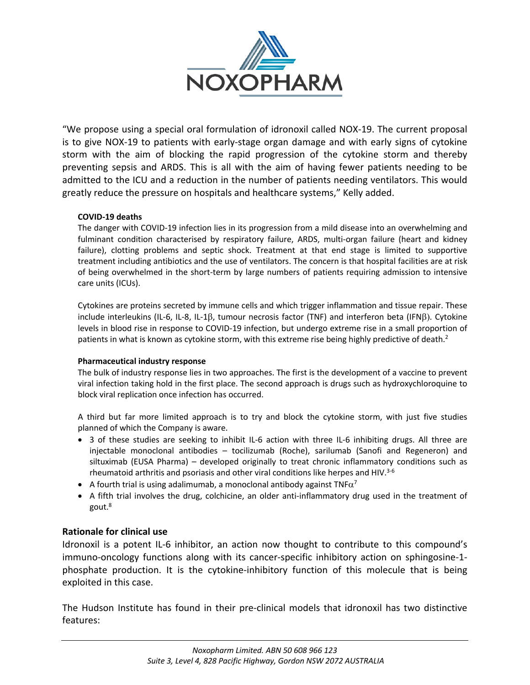

"We propose using a special oral formulation of idronoxil called NOX-19. The current proposal is to give NOX-19 to patients with early-stage organ damage and with early signs of cytokine storm with the aim of blocking the rapid progression of the cytokine storm and thereby preventing sepsis and ARDS. This is all with the aim of having fewer patients needing to be admitted to the ICU and a reduction in the number of patients needing ventilators. This would greatly reduce the pressure on hospitals and healthcare systems," Kelly added.

### **COVID-19 deaths**

The danger with COVID-19 infection lies in its progression from a mild disease into an overwhelming and fulminant condition characterised by respiratory failure, ARDS, multi-organ failure (heart and kidney failure), clotting problems and septic shock. Treatment at that end stage is limited to supportive treatment including antibiotics and the use of ventilators. The concern is that hospital facilities are at risk of being overwhelmed in the short-term by large numbers of patients requiring admission to intensive care units (ICUs).

Cytokines are proteins secreted by immune cells and which trigger inflammation and tissue repair. These include interleukins (IL-6, IL-8, IL-1ß, tumour necrosis factor (TNF) and interferon beta (IFNB). Cytokine levels in blood rise in response to COVID-19 infection, but undergo extreme rise in a small proportion of patients in what is known as cytokine storm, with this extreme rise being highly predictive of death.<sup>2</sup>

### **Pharmaceutical industry response**

The bulk of industry response lies in two approaches. The first is the development of a vaccine to prevent viral infection taking hold in the first place. The second approach is drugs such as hydroxychloroquine to block viral replication once infection has occurred.

A third but far more limited approach is to try and block the cytokine storm, with just five studies planned of which the Company is aware.

- 3 of these studies are seeking to inhibit IL-6 action with three IL-6 inhibiting drugs. All three are injectable monoclonal antibodies – tocilizumab (Roche), sarilumab (Sanofi and Regeneron) and siltuximab (EUSA Pharma) – developed originally to treat chronic inflammatory conditions such as rheumatoid arthritis and psoriasis and other viral conditions like herpes and HIV. $3-6$
- A fourth trial is using adalimumab, a monoclonal antibody against TNF $\alpha^7$
- A fifth trial involves the drug, colchicine, an older anti-inflammatory drug used in the treatment of gout.8

# **Rationale for clinical use**

Idronoxil is a potent IL-6 inhibitor, an action now thought to contribute to this compound's immuno-oncology functions along with its cancer-specific inhibitory action on sphingosine-1 phosphate production. It is the cytokine-inhibitory function of this molecule that is being exploited in this case.

The Hudson Institute has found in their pre-clinical models that idronoxil has two distinctive features: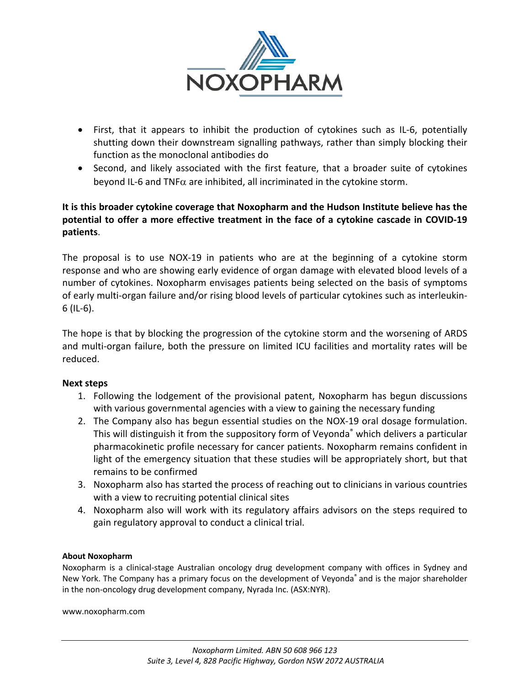

- First, that it appears to inhibit the production of cytokines such as IL-6, potentially shutting down their downstream signalling pathways, rather than simply blocking their function as the monoclonal antibodies do
- Second, and likely associated with the first feature, that a broader suite of cytokines beyond IL-6 and TNF $\alpha$  are inhibited, all incriminated in the cytokine storm.

# **It is this broader cytokine coverage that Noxopharm and the Hudson Institute believe has the potential to offer a more effective treatment in the face of a cytokine cascade in COVID-19 patients**.

The proposal is to use NOX-19 in patients who are at the beginning of a cytokine storm response and who are showing early evidence of organ damage with elevated blood levels of a number of cytokines. Noxopharm envisages patients being selected on the basis of symptoms of early multi-organ failure and/or rising blood levels of particular cytokines such as interleukin-6 (IL-6).

The hope is that by blocking the progression of the cytokine storm and the worsening of ARDS and multi-organ failure, both the pressure on limited ICU facilities and mortality rates will be reduced.

# **Next steps**

- 1. Following the lodgement of the provisional patent, Noxopharm has begun discussions with various governmental agencies with a view to gaining the necessary funding
- 2. The Company also has begun essential studies on the NOX-19 oral dosage formulation. This will distinguish it from the suppository form of Veyonda<sup>®</sup> which delivers a particular pharmacokinetic profile necessary for cancer patients. Noxopharm remains confident in light of the emergency situation that these studies will be appropriately short, but that remains to be confirmed
- 3. Noxopharm also has started the process of reaching out to clinicians in various countries with a view to recruiting potential clinical sites
- 4. Noxopharm also will work with its regulatory affairs advisors on the steps required to gain regulatory approval to conduct a clinical trial.

# **About Noxopharm**

Noxopharm is a clinical-stage Australian oncology drug development company with offices in Sydney and New York. The Company has a primary focus on the development of Veyonda® and is the major shareholder in the non-oncology drug development company, Nyrada Inc. (ASX:NYR).

www.noxopharm.com